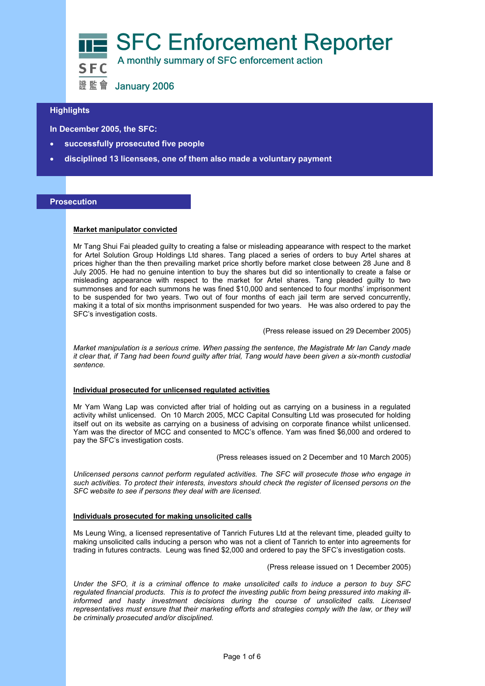

# **Highlights**

 **In December 2005, the SFC:** 

- **successfully prosecuted five people**
- **disciplined 13 licensees, one of them also made a voluntary payment**

#### **Prosecution**

## **Market manipulator convicted**

Mr Tang Shui Fai pleaded guilty to creating a false or misleading appearance with respect to the market for Artel Solution Group Holdings Ltd shares. Tang placed a series of orders to buy Artel shares at prices higher than the then prevailing market price shortly before market close between 28 June and 8 July 2005. He had no genuine intention to buy the shares but did so intentionally to create a false or misleading appearance with respect to the market for Artel shares. Tang pleaded guilty to two summonses and for each summons he was fined \$10,000 and sentenced to four months' imprisonment to be suspended for two years. Two out of four months of each jail term are served concurrently, making it a total of six months imprisonment suspended for two years. He was also ordered to pay the SFC's investigation costs.

(Press release issued on 29 December 2005)

*Market manipulation is a serious crime. When passing the sentence, the Magistrate Mr Ian Candy made it clear that, if Tang had been found guilty after trial, Tang would have been given a six-month custodial sentence.* 

#### **Individual prosecuted for unlicensed regulated activities**

Mr Yam Wang Lap was convicted after trial of holding out as carrying on a business in a regulated activity whilst unlicensed. On 10 March 2005, MCC Capital Consulting Ltd was prosecuted for holding itself out on its website as carrying on a business of advising on corporate finance whilst unlicensed. Yam was the director of MCC and consented to MCC's offence. Yam was fined \$6,000 and ordered to pay the SFC's investigation costs.

(Press releases issued on 2 December and 10 March 2005)

*Unlicensed persons cannot perform regulated activities. The SFC will prosecute those who engage in such activities. To protect their interests, investors should check the register of licensed persons on the SFC website to see if persons they deal with are licensed.* 

#### **Individuals prosecuted for making unsolicited calls**

Ms Leung Wing, a licensed representative of Tanrich Futures Ltd at the relevant time, pleaded guilty to making unsolicited calls inducing a person who was not a client of Tanrich to enter into agreements for trading in futures contracts. Leung was fined \$2,000 and ordered to pay the SFC's investigation costs.

(Press release issued on 1 December 2005)

*Under the SFO, it is a criminal offence to make unsolicited calls to induce a person to buy SFC regulated financial products. This is to protect the investing public from being pressured into making illinformed and hasty investment decisions during the course of unsolicited calls. Licensed representatives must ensure that their marketing efforts and strategies comply with the law, or they will be criminally prosecuted and/or disciplined.*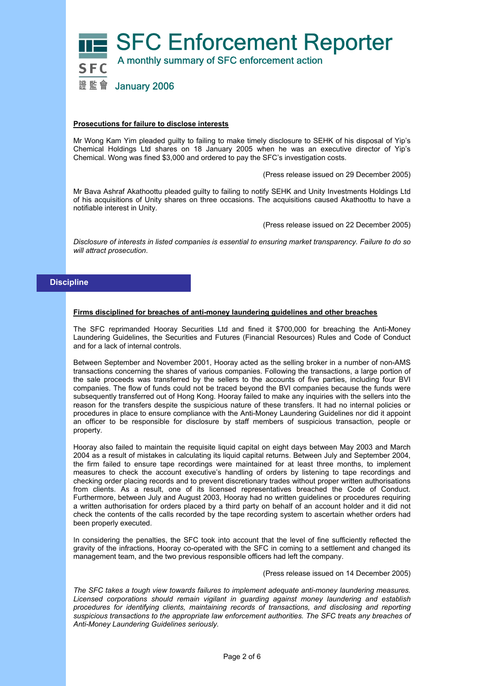

#### **Prosecutions for failure to disclose interests**

Mr Wong Kam Yim pleaded guilty to failing to make timely disclosure to SEHK of his disposal of Yip's Chemical Holdings Ltd shares on 18 January 2005 when he was an executive director of Yip's Chemical. Wong was fined \$3,000 and ordered to pay the SFC's investigation costs.

(Press release issued on 29 December 2005)

Mr Bava Ashraf Akathoottu pleaded guilty to failing to notify SEHK and Unity Investments Holdings Ltd of his acquisitions of Unity shares on three occasions. The acquisitions caused Akathoottu to have a notifiable interest in Unity.

(Press release issued on 22 December 2005)

*Disclosure of interests in listed companies is essential to ensuring market transparency. Failure to do so will attract prosecution*.

## **Discipline**

#### **Firms disciplined for breaches of anti-money laundering guidelines and other breaches**

The SFC reprimanded Hooray Securities Ltd and fined it \$700,000 for breaching the Anti-Money Laundering Guidelines, the Securities and Futures (Financial Resources) Rules and Code of Conduct and for a lack of internal controls.

Between September and November 2001, Hooray acted as the selling broker in a number of non-AMS transactions concerning the shares of various companies. Following the transactions, a large portion of the sale proceeds was transferred by the sellers to the accounts of five parties, including four BVI companies. The flow of funds could not be traced beyond the BVI companies because the funds were subsequently transferred out of Hong Kong. Hooray failed to make any inquiries with the sellers into the reason for the transfers despite the suspicious nature of these transfers. It had no internal policies or procedures in place to ensure compliance with the Anti-Money Laundering Guidelines nor did it appoint an officer to be responsible for disclosure by staff members of suspicious transaction, people or property.

Hooray also failed to maintain the requisite liquid capital on eight days between May 2003 and March 2004 as a result of mistakes in calculating its liquid capital returns. Between July and September 2004, the firm failed to ensure tape recordings were maintained for at least three months, to implement measures to check the account executive's handling of orders by listening to tape recordings and checking order placing records and to prevent discretionary trades without proper written authorisations from clients. As a result, one of its licensed representatives breached the Code of Conduct. Furthermore, between July and August 2003, Hooray had no written guidelines or procedures requiring a written authorisation for orders placed by a third party on behalf of an account holder and it did not check the contents of the calls recorded by the tape recording system to ascertain whether orders had been properly executed.

In considering the penalties, the SFC took into account that the level of fine sufficiently reflected the gravity of the infractions, Hooray co-operated with the SFC in coming to a settlement and changed its management team, and the two previous responsible officers had left the company.

(Press release issued on 14 December 2005)

*The SFC takes a tough view towards failures to implement adequate anti-money laundering measures. Licensed corporations should remain vigilant in guarding against money laundering and establish procedures for identifying clients, maintaining records of transactions, and disclosing and reporting suspicious transactions to the appropriate law enforcement authorities. The SFC treats any breaches of Anti-Money Laundering Guidelines seriously.*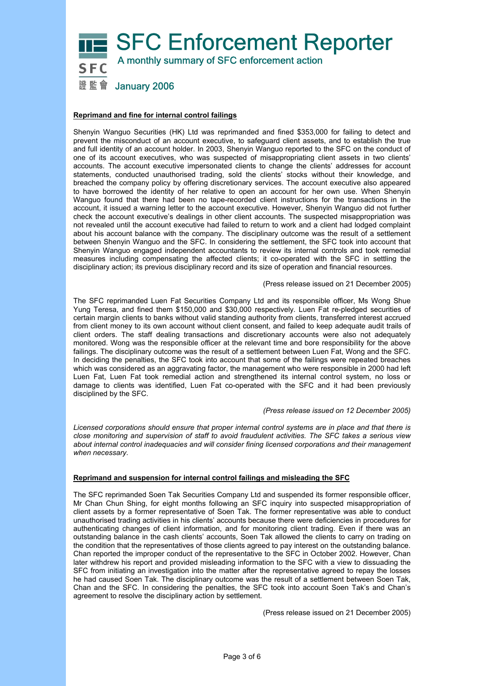

## **Reprimand and fine for internal control failings**

Shenyin Wanguo Securities (HK) Ltd was reprimanded and fined \$353,000 for failing to detect and prevent the misconduct of an account executive, to safeguard client assets, and to establish the true and full identity of an account holder. In 2003, Shenyin Wanguo reported to the SFC on the conduct of one of its account executives, who was suspected of misappropriating client assets in two clients' accounts. The account executive impersonated clients to change the clients' addresses for account statements, conducted unauthorised trading, sold the clients' stocks without their knowledge, and breached the company policy by offering discretionary services. The account executive also appeared to have borrowed the identity of her relative to open an account for her own use. When Shenyin Wanguo found that there had been no tape-recorded client instructions for the transactions in the account, it issued a warning letter to the account executive. However, Shenyin Wanguo did not further check the account executive's dealings in other client accounts. The suspected misappropriation was not revealed until the account executive had failed to return to work and a client had lodged complaint about his account balance with the company. The disciplinary outcome was the result of a settlement between Shenyin Wanguo and the SFC. In considering the settlement, the SFC took into account that Shenyin Wanguo engaged independent accountants to review its internal controls and took remedial measures including compensating the affected clients; it co-operated with the SFC in settling the disciplinary action; its previous disciplinary record and its size of operation and financial resources.

(Press release issued on 21 December 2005)

The SFC reprimanded Luen Fat Securities Company Ltd and its responsible officer, Ms Wong Shue Yung Teresa, and fined them \$150,000 and \$30,000 respectively. Luen Fat re-pledged securities of certain margin clients to banks without valid standing authority from clients, transferred interest accrued from client money to its own account without client consent, and failed to keep adequate audit trails of client orders. The staff dealing transactions and discretionary accounts were also not adequately monitored. Wong was the responsible officer at the relevant time and bore responsibility for the above failings. The disciplinary outcome was the result of a settlement between Luen Fat, Wong and the SFC. In deciding the penalties, the SFC took into account that some of the failings were repeated breaches which was considered as an aggravating factor, the management who were responsible in 2000 had left Luen Fat, Luen Fat took remedial action and strengthened its internal control system, no loss or damage to clients was identified, Luen Fat co-operated with the SFC and it had been previously disciplined by the SFC.

#### *(Press release issued on 12 December 2005)*

*Licensed corporations should ensure that proper internal control systems are in place and that there is close monitoring and supervision of staff to avoid fraudulent activities. The SFC takes a serious view about internal control inadequacies and will consider fining licensed corporations and their management when necessary.* 

## **Reprimand and suspension for internal control failings and misleading the SFC**

The SFC reprimanded Soen Tak Securities Company Ltd and suspended its former responsible officer, Mr Chan Chun Shing, for eight months following an SFC inquiry into suspected misappropriation of client assets by a former representative of Soen Tak. The former representative was able to conduct unauthorised trading activities in his clients' accounts because there were deficiencies in procedures for authenticating changes of client information, and for monitoring client trading. Even if there was an outstanding balance in the cash clients' accounts, Soen Tak allowed the clients to carry on trading on the condition that the representatives of those clients agreed to pay interest on the outstanding balance. Chan reported the improper conduct of the representative to the SFC in October 2002. However, Chan later withdrew his report and provided misleading information to the SFC with a view to dissuading the SFC from initiating an investigation into the matter after the representative agreed to repay the losses he had caused Soen Tak. The disciplinary outcome was the result of a settlement between Soen Tak, Chan and the SFC. In considering the penalties, the SFC took into account Soen Tak's and Chan's agreement to resolve the disciplinary action by settlement.

(Press release issued on 21 December 2005)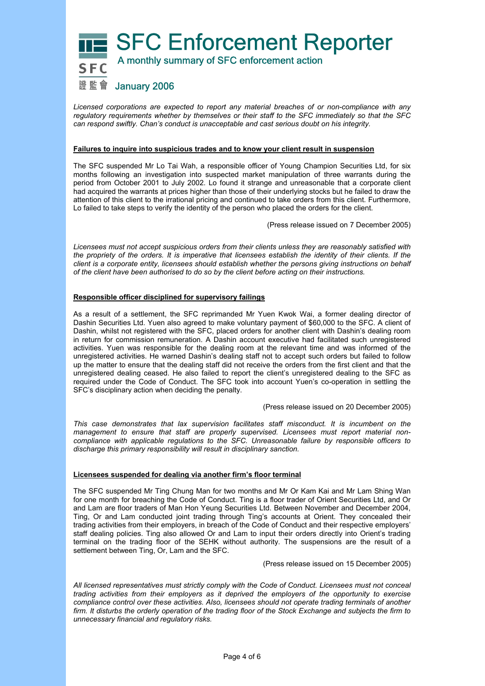

*Licensed corporations are expected to report any material breaches of or non-compliance with any regulatory requirements whether by themselves or their staff to the SFC immediately so that the SFC can respond swiftly. Chan's conduct is unacceptable and cast serious doubt on his integrity.* 

## **Failures to inquire into suspicious trades and to know your client result in suspension**

The SFC suspended Mr Lo Tai Wah, a responsible officer of Young Champion Securities Ltd, for six months following an investigation into suspected market manipulation of three warrants during the period from October 2001 to July 2002. Lo found it strange and unreasonable that a corporate client had acquired the warrants at prices higher than those of their underlying stocks but he failed to draw the attention of this client to the irrational pricing and continued to take orders from this client. Furthermore, Lo failed to take steps to verify the identity of the person who placed the orders for the client.

(Press release issued on 7 December 2005)

*Licensees must not accept suspicious orders from their clients unless they are reasonably satisfied with the propriety of the orders. It is imperative that licensees establish the identity of their clients. If the client is a corporate entity, licensees should establish whether the persons giving instructions on behalf of the client have been authorised to do so by the client before acting on their instructions.* 

## **Responsible officer disciplined for supervisory failings**

As a result of a settlement, the SFC reprimanded Mr Yuen Kwok Wai, a former dealing director of Dashin Securities Ltd. Yuen also agreed to make voluntary payment of \$60,000 to the SFC. A client of Dashin, whilst not registered with the SFC, placed orders for another client with Dashin's dealing room in return for commission remuneration. A Dashin account executive had facilitated such unregistered activities. Yuen was responsible for the dealing room at the relevant time and was informed of the unregistered activities. He warned Dashin's dealing staff not to accept such orders but failed to follow up the matter to ensure that the dealing staff did not receive the orders from the first client and that the unregistered dealing ceased. He also failed to report the client's unregistered dealing to the SFC as required under the Code of Conduct. The SFC took into account Yuen's co-operation in settling the SFC's disciplinary action when deciding the penalty.

#### (Press release issued on 20 December 2005)

*This case demonstrates that lax supervision facilitates staff misconduct. It is incumbent on the management to ensure that staff are properly supervised. Licensees must report material noncompliance with applicable regulations to the SFC. Unreasonable failure by responsible officers to discharge this primary responsibility will result in disciplinary sanction.* 

#### **Licensees suspended for dealing via another firm's floor terminal**

The SFC suspended Mr Ting Chung Man for two months and Mr Or Kam Kai and Mr Lam Shing Wan for one month for breaching the Code of Conduct. Ting is a floor trader of Orient Securities Ltd, and Or and Lam are floor traders of Man Hon Yeung Securities Ltd. Between November and December 2004, Ting, Or and Lam conducted joint trading through Ting's accounts at Orient. They concealed their trading activities from their employers, in breach of the Code of Conduct and their respective employers' staff dealing policies. Ting also allowed Or and Lam to input their orders directly into Orient's trading terminal on the trading floor of the SEHK without authority. The suspensions are the result of a settlement between Ting, Or, Lam and the SFC.

#### (Press release issued on 15 December 2005)

*All licensed representatives must strictly comply with the Code of Conduct. Licensees must not conceal trading activities from their employers as it deprived the employers of the opportunity to exercise compliance control over these activities. Also, licensees should not operate trading terminals of another firm. It disturbs the orderly operation of the trading floor of the Stock Exchange and subjects the firm to unnecessary financial and regulatory risks.*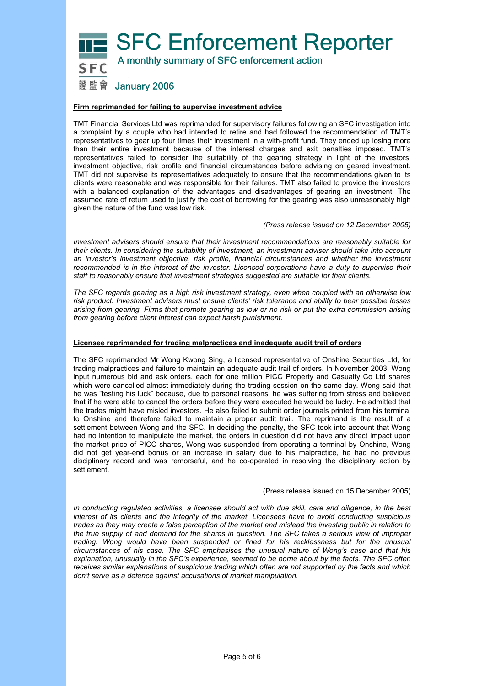**SFC Enforcement Reporter** A monthly summary of SFC enforcement action



# 證監會 January 2006

## **Firm reprimanded for failing to supervise investment advice**

TMT Financial Services Ltd was reprimanded for supervisory failures following an SFC investigation into a complaint by a couple who had intended to retire and had followed the recommendation of TMT's representatives to gear up four times their investment in a with-profit fund. They ended up losing more than their entire investment because of the interest charges and exit penalties imposed. TMT's representatives failed to consider the suitability of the gearing strategy in light of the investors' investment objective, risk profile and financial circumstances before advising on geared investment. TMT did not supervise its representatives adequately to ensure that the recommendations given to its clients were reasonable and was responsible for their failures. TMT also failed to provide the investors with a balanced explanation of the advantages and disadvantages of gearing an investment. The assumed rate of return used to justify the cost of borrowing for the gearing was also unreasonably high given the nature of the fund was low risk.

#### *(Press release issued on 12 December 2005)*

*Investment advisers should ensure that their investment recommendations are reasonably suitable for their clients. In considering the suitability of investment, an investment adviser should take into account an investor's investment objective, risk profile, financial circumstances and whether the investment recommended is in the interest of the investor. Licensed corporations have a duty to supervise their staff to reasonably ensure that investment strategies suggested are suitable for their clients.* 

*The SFC regards gearing as a high risk investment strategy, even when coupled with an otherwise low risk product. Investment advisers must ensure clients' risk tolerance and ability to bear possible losses arising from gearing. Firms that promote gearing as low or no risk or put the extra commission arising from gearing before client interest can expect harsh punishment.* 

## **Licensee reprimanded for trading malpractices and inadequate audit trail of orders**

The SFC reprimanded Mr Wong Kwong Sing, a licensed representative of Onshine Securities Ltd, for trading malpractices and failure to maintain an adequate audit trail of orders. In November 2003, Wong input numerous bid and ask orders, each for one million PICC Property and Casualty Co Ltd shares which were cancelled almost immediately during the trading session on the same day. Wong said that he was "testing his luck" because, due to personal reasons, he was suffering from stress and believed that if he were able to cancel the orders before they were executed he would be lucky. He admitted that the trades might have misled investors. He also failed to submit order journals printed from his terminal to Onshine and therefore failed to maintain a proper audit trail. The reprimand is the result of a settlement between Wong and the SFC. In deciding the penalty, the SFC took into account that Wong had no intention to manipulate the market, the orders in question did not have any direct impact upon the market price of PICC shares, Wong was suspended from operating a terminal by Onshine, Wong did not get year-end bonus or an increase in salary due to his malpractice, he had no previous disciplinary record and was remorseful, and he co-operated in resolving the disciplinary action by settlement.

#### (Press release issued on 15 December 2005)

*In conducting regulated activities, a licensee should act with due skill, care and diligence, in the best interest of its clients and the integrity of the market. Licensees have to avoid conducting suspicious trades as they may create a false perception of the market and mislead the investing public in relation to the true supply of and demand for the shares in question. The SFC takes a serious view of improper trading. Wong would have been suspended or fined for his recklessness but for the unusual circumstances of his case. The SFC emphasises the unusual nature of Wong's case and that his explanation, unusually in the SFC's experience, seemed to be borne about by the facts. The SFC often receives similar explanations of suspicious trading which often are not supported by the facts and which don't serve as a defence against accusations of market manipulation.*